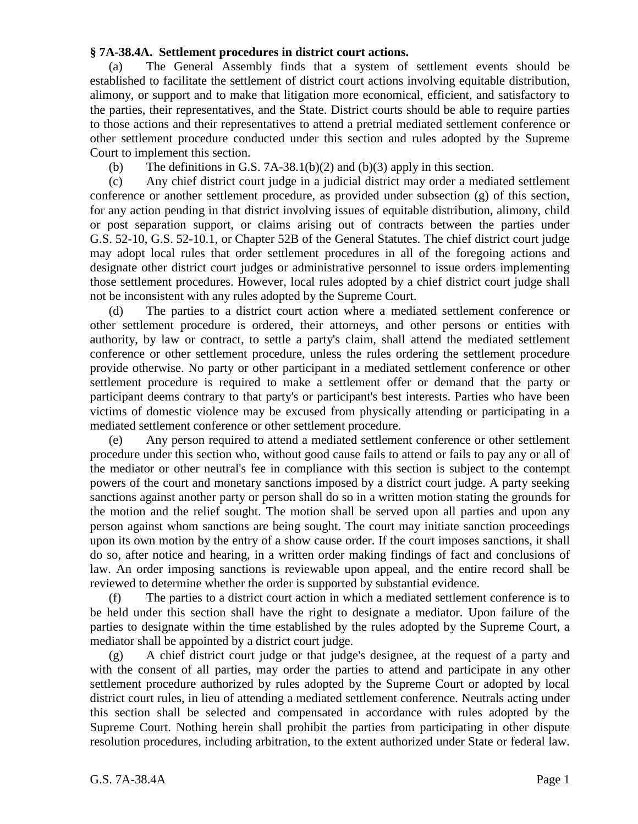## **§ 7A-38.4A. Settlement procedures in district court actions.**

(a) The General Assembly finds that a system of settlement events should be established to facilitate the settlement of district court actions involving equitable distribution, alimony, or support and to make that litigation more economical, efficient, and satisfactory to the parties, their representatives, and the State. District courts should be able to require parties to those actions and their representatives to attend a pretrial mediated settlement conference or other settlement procedure conducted under this section and rules adopted by the Supreme Court to implement this section.

(b) The definitions in G.S. 7A-38.1(b)(2) and (b)(3) apply in this section.

(c) Any chief district court judge in a judicial district may order a mediated settlement conference or another settlement procedure, as provided under subsection (g) of this section, for any action pending in that district involving issues of equitable distribution, alimony, child or post separation support, or claims arising out of contracts between the parties under G.S. 52-10, G.S. 52-10.1, or Chapter 52B of the General Statutes. The chief district court judge may adopt local rules that order settlement procedures in all of the foregoing actions and designate other district court judges or administrative personnel to issue orders implementing those settlement procedures. However, local rules adopted by a chief district court judge shall not be inconsistent with any rules adopted by the Supreme Court.

(d) The parties to a district court action where a mediated settlement conference or other settlement procedure is ordered, their attorneys, and other persons or entities with authority, by law or contract, to settle a party's claim, shall attend the mediated settlement conference or other settlement procedure, unless the rules ordering the settlement procedure provide otherwise. No party or other participant in a mediated settlement conference or other settlement procedure is required to make a settlement offer or demand that the party or participant deems contrary to that party's or participant's best interests. Parties who have been victims of domestic violence may be excused from physically attending or participating in a mediated settlement conference or other settlement procedure.

(e) Any person required to attend a mediated settlement conference or other settlement procedure under this section who, without good cause fails to attend or fails to pay any or all of the mediator or other neutral's fee in compliance with this section is subject to the contempt powers of the court and monetary sanctions imposed by a district court judge. A party seeking sanctions against another party or person shall do so in a written motion stating the grounds for the motion and the relief sought. The motion shall be served upon all parties and upon any person against whom sanctions are being sought. The court may initiate sanction proceedings upon its own motion by the entry of a show cause order. If the court imposes sanctions, it shall do so, after notice and hearing, in a written order making findings of fact and conclusions of law. An order imposing sanctions is reviewable upon appeal, and the entire record shall be reviewed to determine whether the order is supported by substantial evidence.

(f) The parties to a district court action in which a mediated settlement conference is to be held under this section shall have the right to designate a mediator. Upon failure of the parties to designate within the time established by the rules adopted by the Supreme Court, a mediator shall be appointed by a district court judge.

(g) A chief district court judge or that judge's designee, at the request of a party and with the consent of all parties, may order the parties to attend and participate in any other settlement procedure authorized by rules adopted by the Supreme Court or adopted by local district court rules, in lieu of attending a mediated settlement conference. Neutrals acting under this section shall be selected and compensated in accordance with rules adopted by the Supreme Court. Nothing herein shall prohibit the parties from participating in other dispute resolution procedures, including arbitration, to the extent authorized under State or federal law.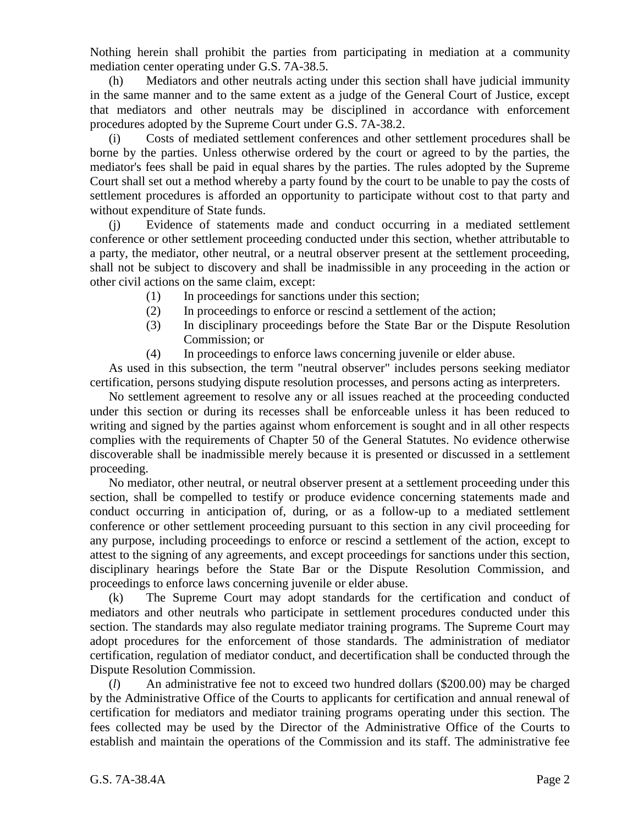Nothing herein shall prohibit the parties from participating in mediation at a community mediation center operating under G.S. 7A-38.5.

(h) Mediators and other neutrals acting under this section shall have judicial immunity in the same manner and to the same extent as a judge of the General Court of Justice, except that mediators and other neutrals may be disciplined in accordance with enforcement procedures adopted by the Supreme Court under G.S. 7A-38.2.

(i) Costs of mediated settlement conferences and other settlement procedures shall be borne by the parties. Unless otherwise ordered by the court or agreed to by the parties, the mediator's fees shall be paid in equal shares by the parties. The rules adopted by the Supreme Court shall set out a method whereby a party found by the court to be unable to pay the costs of settlement procedures is afforded an opportunity to participate without cost to that party and without expenditure of State funds.

(j) Evidence of statements made and conduct occurring in a mediated settlement conference or other settlement proceeding conducted under this section, whether attributable to a party, the mediator, other neutral, or a neutral observer present at the settlement proceeding, shall not be subject to discovery and shall be inadmissible in any proceeding in the action or other civil actions on the same claim, except:

- (1) In proceedings for sanctions under this section;
- (2) In proceedings to enforce or rescind a settlement of the action;
- (3) In disciplinary proceedings before the State Bar or the Dispute Resolution Commission; or
- (4) In proceedings to enforce laws concerning juvenile or elder abuse.

As used in this subsection, the term "neutral observer" includes persons seeking mediator certification, persons studying dispute resolution processes, and persons acting as interpreters.

No settlement agreement to resolve any or all issues reached at the proceeding conducted under this section or during its recesses shall be enforceable unless it has been reduced to writing and signed by the parties against whom enforcement is sought and in all other respects complies with the requirements of Chapter 50 of the General Statutes. No evidence otherwise discoverable shall be inadmissible merely because it is presented or discussed in a settlement proceeding.

No mediator, other neutral, or neutral observer present at a settlement proceeding under this section, shall be compelled to testify or produce evidence concerning statements made and conduct occurring in anticipation of, during, or as a follow-up to a mediated settlement conference or other settlement proceeding pursuant to this section in any civil proceeding for any purpose, including proceedings to enforce or rescind a settlement of the action, except to attest to the signing of any agreements, and except proceedings for sanctions under this section, disciplinary hearings before the State Bar or the Dispute Resolution Commission, and proceedings to enforce laws concerning juvenile or elder abuse.

(k) The Supreme Court may adopt standards for the certification and conduct of mediators and other neutrals who participate in settlement procedures conducted under this section. The standards may also regulate mediator training programs. The Supreme Court may adopt procedures for the enforcement of those standards. The administration of mediator certification, regulation of mediator conduct, and decertification shall be conducted through the Dispute Resolution Commission.

(*l*) An administrative fee not to exceed two hundred dollars (\$200.00) may be charged by the Administrative Office of the Courts to applicants for certification and annual renewal of certification for mediators and mediator training programs operating under this section. The fees collected may be used by the Director of the Administrative Office of the Courts to establish and maintain the operations of the Commission and its staff. The administrative fee